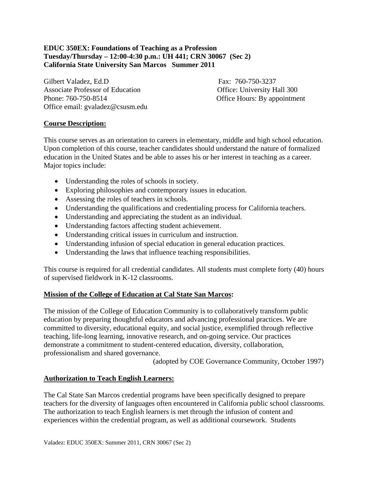# **EDUC 350EX: Foundations of Teaching as a Profession Tuesday/Thursday – 12:00-4:30 p.m.: UH 441; CRN 30067 (Sec 2) California State University San Marcos Summer 2011**

Gilbert Valadez, Ed.D Fax: 760-750-3237 Associate Professor of Education **Office:** University Hall 300 Phone: 760-750-8514 Office Hours: By appointment Office email: gvaladez@csusm.edu

# **Course Description:**

This course serves as an orientation to careers in elementary, middle and high school education. Upon completion of this course, teacher candidates should understand the nature of formalized education in the United States and be able to asses his or her interest in teaching as a career. Major topics include:

- Understanding the roles of schools in society.
- Exploring philosophies and contemporary issues in education.
- Assessing the roles of teachers in schools.
- Understanding the qualifications and credentialing process for California teachers.
- Understanding and appreciating the student as an individual.
- Understanding factors affecting student achievement.
- Understanding critical issues in curriculum and instruction.
- Understanding infusion of special education in general education practices.
- Understanding the laws that influence teaching responsibilities.

This course is required for all credential candidates. All students must complete forty (40) hours of supervised fieldwork in K-12 classrooms.

# **Mission of the College of Education at Cal State San Marcos:**

The mission of the College of Education Community is to collaboratively transform public education by preparing thoughtful educators and advancing professional practices. We are committed to diversity, educational equity, and social justice, exemplified through reflective teaching, life-long learning, innovative research, and on-going service. Our practices demonstrate a commitment to student-centered education, diversity, collaboration, professionalism and shared governance.

(adopted by COE Governance Community, October 1997)

# **Authorization to Teach English Learners:**

The Cal State San Marcos credential programs have been specifically designed to prepare teachers for the diversity of languages often encountered in California public school classrooms. The authorization to teach English learners is met through the infusion of content and experiences within the credential program, as well as additional coursework. Students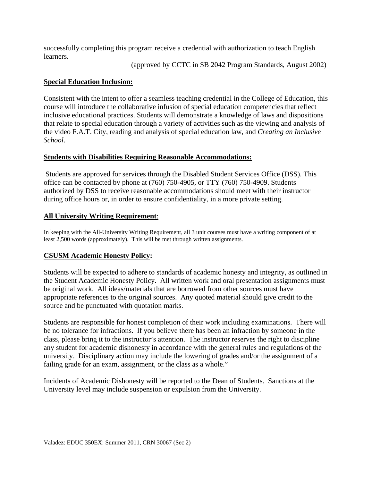successfully completing this program receive a credential with authorization to teach English learners.

(approved by CCTC in SB 2042 Program Standards, August 2002)

## **Special Education Inclusion:**

Consistent with the intent to offer a seamless teaching credential in the College of Education, this course will introduce the collaborative infusion of special education competencies that reflect inclusive educational practices. Students will demonstrate a knowledge of laws and dispositions that relate to special education through a variety of activities such as the viewing and analysis of the video F.A.T. City, reading and analysis of special education law, and *Creating an Inclusive School*.

## **Students with Disabilities Requiring Reasonable Accommodations:**

Students are approved for services through the Disabled Student Services Office (DSS). This office can be contacted by phone at (760) 750-4905, or TTY (760) 750-4909. Students authorized by DSS to receive reasonable accommodations should meet with their instructor during office hours or, in order to ensure confidentiality, in a more private setting.

## **All University Writing Requirement:**

**All University Writing Requirement**: In keeping with the All-University Writing Requirement, all 3 unit courses must have a writing component of at least 2,500 words (approximately). This will be met through written assignments.

# **CSUSM Academic Honesty Policy:**

Students will be expected to adhere to standards of academic honesty and integrity, as outlined in the Student Academic Honesty Policy. All written work and oral presentation assignments must be original work. All ideas/materials that are borrowed from other sources must have appropriate references to the original sources. Any quoted material should give credit to the source and be punctuated with quotation marks.

Students are responsible for honest completion of their work including examinations. There will be no tolerance for infractions. If you believe there has been an infraction by someone in the class, please bring it to the instructor's attention. The instructor reserves the right to discipline any student for academic dishonesty in accordance with the general rules and regulations of the university. Disciplinary action may include the lowering of grades and/or the assignment of a failing grade for an exam, assignment, or the class as a whole."

Incidents of Academic Dishonesty will be reported to the Dean of Students. Sanctions at the University level may include suspension or expulsion from the University.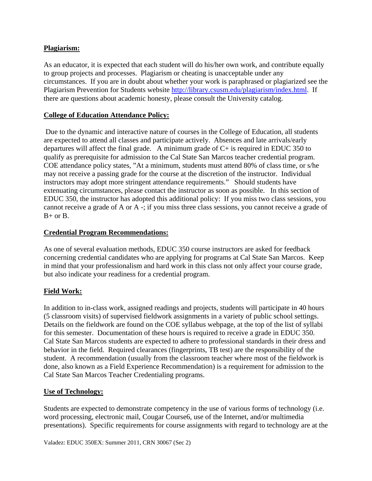# **Plagiarism:**

As an educator, it is expected that each student will do his/her own work, and contribute equally to group projects and processes. Plagiarism or cheating is unacceptable under any circumstances. If you are in doubt about whether your work is paraphrased or plagiarized see the Plagiarism Prevention for Students website http://library.csusm.edu/plagiarism/index.html. If there are questions about academic honesty, please consult the University catalog.

# **College of Education Attendance Policy:**

 Due to the dynamic and interactive nature of courses in the College of Education, all students are expected to attend all classes and participate actively. Absences and late arrivals/early departures will affect the final grade. A minimum grade of  $C+$  is required in EDUC 350 to qualify as prerequisite for admission to the Cal State San Marcos teacher credential program. COE attendance policy states, "At a minimum, students must attend 80% of class time, or s/he may not receive a passing grade for the course at the discretion of the instructor. Individual instructors may adopt more stringent attendance requirements." Should students have extenuating circumstances, please contact the instructor as soon as possible. In this section of EDUC 350, the instructor has adopted this additional policy: If you miss two class sessions, you cannot receive a grade of A or A -; if you miss three class sessions, you cannot receive a grade of  $B+$  or  $B$ .

# **Credential Program Recommendations:**

As one of several evaluation methods, EDUC 350 course instructors are asked for feedback concerning credential candidates who are applying for programs at Cal State San Marcos. Keep in mind that your professionalism and hard work in this class not only affect your course grade, but also indicate your readiness for a credential program.

# **Field Work:**

In addition to in-class work, assigned readings and projects, students will participate in 40 hours (5 classroom visits) of supervised fieldwork assignments in a variety of public school settings. Details on the fieldwork are found on the COE syllabus webpage, at the top of the list of syllabi for this semester. Documentation of these hours is required to receive a grade in EDUC 350. Cal State San Marcos students are expected to adhere to professional standards in their dress and behavior in the field. Required clearances (fingerprints, TB test) are the responsibility of the student. A recommendation (usually from the classroom teacher where most of the fieldwork is done, also known as a Field Experience Recommendation) is a requirement for admission to the Cal State San Marcos Teacher Credentialing programs.

# **Use of Technology:**

Students are expected to demonstrate competency in the use of various forms of technology (i.e. word processing, electronic mail, Cougar Course6, use of the Internet, and/or multimedia presentations). Specific requirements for course assignments with regard to technology are at the

Valadez: EDUC 350EX: Summer 2011, CRN 30067 (Sec 2)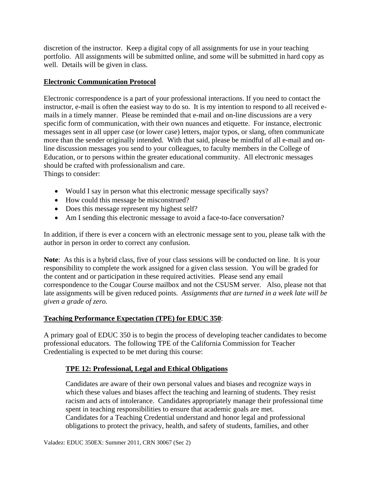discretion of the instructor. Keep a digital copy of all assignments for use in your teaching portfolio. All assignments will be submitted online, and some will be submitted in hard copy as well. Details will be given in class.

## **Electronic Communication Protocol**

Electronic correspondence is a part of your professional interactions. If you need to contact the instructor, e-mail is often the easiest way to do so. It is my intention to respond to all received emails in a timely manner. Please be reminded that e-mail and on-line discussions are a very specific form of communication, with their own nuances and etiquette. For instance, electronic messages sent in all upper case (or lower case) letters, major typos, or slang, often communicate more than the sender originally intended. With that said, please be mindful of all e-mail and online discussion messages you send to your colleagues, to faculty members in the College of Education, or to persons within the greater educational community. All electronic messages should be crafted with professionalism and care.

Things to consider:

- Would I say in person what this electronic message specifically says?
- How could this message be misconstrued?
- Does this message represent my highest self?
- Am I sending this electronic message to avoid a face-to-face conversation?

In addition, if there is ever a concern with an electronic message sent to you, please talk with the author in person in order to correct any confusion.

**Note**: As this is a hybrid class, five of your class sessions will be conducted on line. It is your responsibility to complete the work assigned for a given class session. You will be graded for the content and or participation in these required activities. Please send any email correspondence to the Cougar Course mailbox and not the CSUSM server. Also, please not that late assignments will be given reduced points. *Assignments that are turned in a week late will be given a grade of zero.* 

# **Teaching Performance Expectation (TPE) for EDUC 350**:

A primary goal of EDUC 350 is to begin the process of developing teacher candidates to become professional educators. The following TPE of the California Commission for Teacher Credentialing is expected to be met during this course:

# **TPE 12: Professional, Legal and Ethical Obligations**

Candidates are aware of their own personal values and biases and recognize ways in which these values and biases affect the teaching and learning of students. They resist racism and acts of intolerance. Candidates appropriately manage their professional time spent in teaching responsibilities to ensure that academic goals are met. Candidates for a Teaching Credential understand and honor legal and professional obligations to protect the privacy, health, and safety of students, families, and other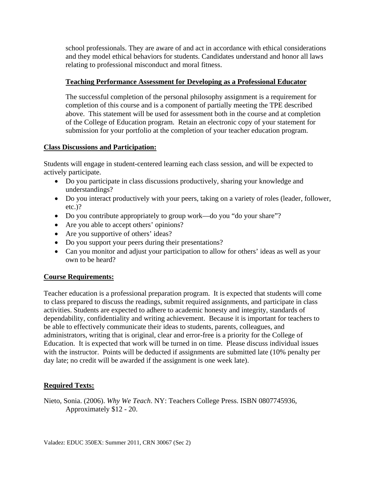school professionals. They are aware of and act in accordance with ethical considerations and they model ethical behaviors for students. Candidates understand and honor all laws relating to professional misconduct and moral fitness.

# **Teaching Performance Assessment for Developing as a Professional Educator**

The successful completion of the personal philosophy assignment is a requirement for completion of this course and is a component of partially meeting the TPE described above. This statement will be used for assessment both in the course and at completion of the College of Education program. Retain an electronic copy of your statement for submission for your portfolio at the completion of your teacher education program.

## **Class Discussions and Participation:**

Students will engage in student-centered learning each class session, and will be expected to actively participate.

- Do you participate in class discussions productively, sharing your knowledge and understandings?
- Do you interact productively with your peers, taking on a variety of roles (leader, follower, etc.)?
- Do you contribute appropriately to group work—do you "do your share"?
- Are you able to accept others' opinions?
- Are you supportive of others' ideas?
- Do you support your peers during their presentations?
- Can you monitor and adjust your participation to allow for others' ideas as well as your own to be heard?

# **Course Requirements:**

Teacher education is a professional preparation program. It is expected that students will come to class prepared to discuss the readings, submit required assignments, and participate in class activities. Students are expected to adhere to academic honesty and integrity, standards of dependability, confidentiality and writing achievement. Because it is important for teachers to be able to effectively communicate their ideas to students, parents, colleagues, and administrators, writing that is original, clear and error-free is a priority for the College of Education. It is expected that work will be turned in on time. Please discuss individual issues with the instructor. Points will be deducted if assignments are submitted late (10% penalty per day late; no credit will be awarded if the assignment is one week late).

# **Required Texts:**

Nieto, Sonia. (2006). *Why We Teach*. NY: Teachers College Press. ISBN 0807745936, Approximately \$12 - 20.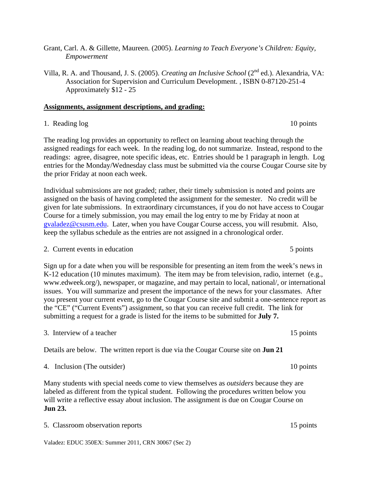- Grant, Carl. A. & Gillette, Maureen. (2005). *Learning to Teach Everyone's Children: Equity, Empowerment*
- Villa, R. A. and Thousand, J. S. (2005). *Creating an Inclusive School* (2nd ed.). Alexandria, VA: Association for Supervision and Curriculum Development. , ISBN 0-87120-251-4 Approximately \$12 - 25

# **Assignments, assignment descriptions, and grading:**

# 1. Reading log 10 points

The reading log provides an opportunity to reflect on learning about teaching through the assigned readings for each week. In the reading log, do not summarize. Instead, respond to the readings: agree, disagree, note specific ideas, etc. Entries should be 1 paragraph in length. Log entries for the Monday/Wednesday class must be submitted via the course Cougar Course site by the prior Friday at noon each week.

Individual submissions are not graded; rather, their timely submission is noted and points are assigned on the basis of having completed the assignment for the semester. No credit will be given for late submissions. In extraordinary circumstances, if you do not have access to Cougar Course for a timely submission, you may email the log entry to me by Friday at noon at gvaladez@csusm.edu. Later, when you have Cougar Course access, you will resubmit. Also, keep the syllabus schedule as the entries are not assigned in a chronological order.

2. Current events in education 5 points 5 points

 submitting a request for a grade is listed for the items to be submitted for **July 7.** Sign up for a date when you will be responsible for presenting an item from the week's news in K-12 education (10 minutes maximum). The item may be from television, radio, internet (e.g., www.edweek.org/), newspaper, or magazine, and may pertain to local, national/, or international issues. You will summarize and present the importance of the news for your classmates. After you present your current event, go to the Cougar Course site and submit a one-sentence report as the "CE" ("Current Events") assignment, so that you can receive full credit. The link for

3. Interview of a teacher 15 points of  $\alpha$  teacher 15 points

Details are below. The written report is due via the Cougar Course site on **Jun 21** 

4. Inclusion (The outsider) 10 points

Many students with special needs come to view themselves as *outsiders* because they are labeled as different from the typical student. Following the procedures written below you will write a reflective essay about inclusion. The assignment is due on Cougar Course on **Jun 23.** 

5. Classroom observation reports 15 points

Valadez: EDUC 350EX: Summer 2011, CRN 30067 (Sec 2)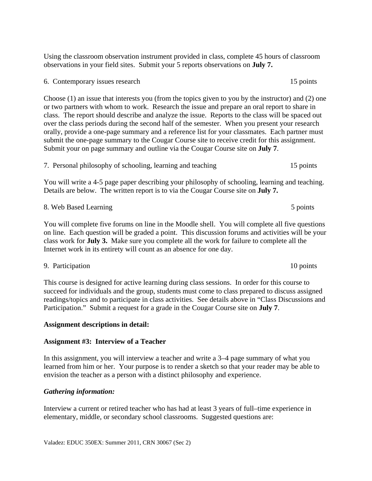Using the classroom observation instrument provided in class, complete 45 hours of classroom observations in your field sites. Submit your 5 reports observations on **July 7.** 

6. Contemporary issues research 15 points

Choose (1) an issue that interests you (from the topics given to you by the instructor) and (2) one or two partners with whom to work. Research the issue and prepare an oral report to share in class. The report should describe and analyze the issue. Reports to the class will be spaced out over the class periods during the second half of the semester. When you present your research orally, provide a one-page summary and a reference list for your classmates. Each partner must submit the one-page summary to the Cougar Course site to receive credit for this assignment. Submit your on page summary and outline via the Cougar Course site on **July 7**.

7. Personal philosophy of schooling, learning and teaching 15 points

You will write a 4-5 page paper describing your philosophy of schooling, learning and teaching. Details are below. The written report is to via the Cougar Course site on **July 7.** 

5 points

8. Web Based Learning 5 points 5 points 5 points 3 points You will complete five forums on line in the Moodle shell. You will complete all five questions on line. Each question will be graded a point. This discussion forums and activities will be your class work for **July 3.** Make sure you complete all the work for failure to complete all the Internet work in its entirety will count as an absence for one day.

9. Participation 10 points

This course is designed for active learning during class sessions. In order for this course to succeed for individuals and the group, students must come to class prepared to discuss assigned readings/topics and to participate in class activities. See details above in "Class Discussions and Participation." Submit a request for a grade in the Cougar Course site on **July 7**.

## **Assignment descriptions in detail:**

## **Assignment #3: Interview of a Teacher**

In this assignment, you will interview a teacher and write a 3–4 page summary of what you learned from him or her. Your purpose is to render a sketch so that your reader may be able to envision the teacher as a person with a distinct philosophy and experience.

## *Gathering information:*

Interview a current or retired teacher who has had at least 3 years of full–time experience in elementary, middle, or secondary school classrooms. Suggested questions are: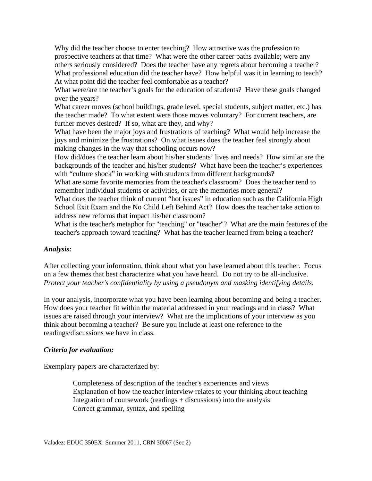What professional education did the teacher have? How helpful was it in learning to teach? Why did the teacher choose to enter teaching? How attractive was the profession to prospective teachers at that time? What were the other career paths available; were any others seriously considered? Does the teacher have any regrets about becoming a teacher? At what point did the teacher feel comfortable as a teacher?

What were/are the teacher's goals for the education of students? Have these goals changed over the years?

What career moves (school buildings, grade level, special students, subject matter, etc.) has the teacher made? To what extent were those moves voluntary? For current teachers, are further moves desired? If so, what are they, and why?

What have been the major joys and frustrations of teaching? What would help increase the joys and minimize the frustrations? On what issues does the teacher feel strongly about making changes in the way that schooling occurs now?

How did/does the teacher learn about his/her students' lives and needs? How similar are the backgrounds of the teacher and his/her students? What have been the teacher's experiences with "culture shock" in working with students from different backgrounds?

What are some favorite memories from the teacher's classroom? Does the teacher tend to remember individual students or activities, or are the memories more general?

What does the teacher think of current "hot issues" in education such as the California High School Exit Exam and the No Child Left Behind Act? How does the teacher take action to address new reforms that impact his/her classroom?

What is the teacher's metaphor for "teaching" or "teacher"? What are the main features of the teacher's approach toward teaching? What has the teacher learned from being a teacher?

## *Analysis:*

After collecting your information, think about what you have learned about this teacher. Focus on a few themes that best characterize what you have heard. Do not try to be all-inclusive. *Protect your teacher's confidentiality by using a pseudonym and masking identifying details.* 

In your analysis, incorporate what you have been learning about becoming and being a teacher. How does your teacher fit within the material addressed in your readings and in class? What issues are raised through your interview? What are the implications of your interview as you think about becoming a teacher? Be sure you include at least one reference to the readings/discussions we have in class.

## *Criteria for evaluation:*

Exemplary papers are characterized by:

Completeness of description of the teacher's experiences and views Explanation of how the teacher interview relates to your thinking about teaching Integration of coursework (readings + discussions) into the analysis Correct grammar, syntax, and spelling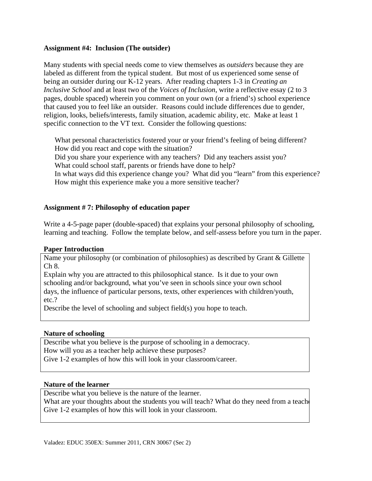## **Assignment #4: Inclusion (The outsider)**

Many students with special needs come to view themselves as *outsiders* because they are labeled as different from the typical student. But most of us experienced some sense of being an outsider during our K-12 years. After reading chapters 1-3 in *Creating an Inclusive School* and at least two of the *Voices of Inclusion*, write a reflective essay (2 to 3 pages, double spaced) wherein you comment on your own (or a friend's) school experience that caused you to feel like an outsider. Reasons could include differences due to gender, religion, looks, beliefs/interests, family situation, academic ability, etc. Make at least 1 specific connection to the VT text. Consider the following questions:

What personal characteristics fostered your or your friend's feeling of being different?<br>How did you react and cope with the situation?<br>Did you share your experience with any teachers? Did any teachers assist you? How did you react and cope with the situation?

What could school staff, parents or friends have done to help?

In what ways did this experience change you? What did you "learn" from this experience? How might this experience make you a more sensitive teacher?

# **Assignment # 7: Philosophy of education paper**

Write a 4-5-page paper (double-spaced) that explains your personal philosophy of schooling, learning and teaching. Follow the template below, and self-assess before you turn in the paper.

## **Paper Introduction**

Name your philosophy (or combination of philosophies) as described by Grant & Gillette Ch 8.

Explain why you are attracted to this philosophical stance. Is it due to your own schooling and/or background, what you've seen in schools since your own school days, the influence of particular persons, texts, other experiences with children/youth, etc.?

Describe the level of schooling and subject field(s) you hope to teach.

## **Nature of schooling**

Describe what you believe is the purpose of schooling in a democracy. How will you as a teacher help achieve these purposes? Give 1-2 examples of how this will look in your classroom/career.

## **Nature of the learner**

Describe what you believe is the nature of the learner.

What are your thoughts about the students you will teach? What do they need from a teach Give 1-2 examples of how this will look in your classroom.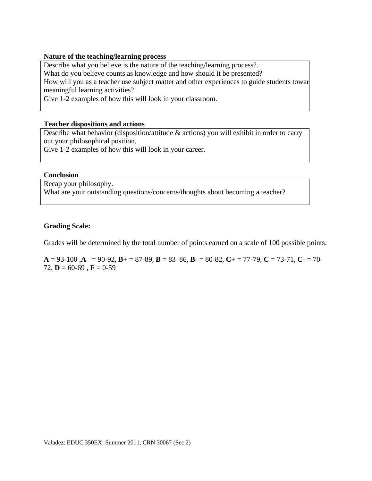#### **Nature of the teaching/learning process**

 meaningful learning activities? Describe what you believe is the nature of the teaching/learning process?. What do you believe counts as knowledge and how should it be presented? How will you as a teacher use subject matter and other experiences to guide students towar

Give 1-2 examples of how this will look in your classroom.

#### **Teacher dispositions and actions**

Describe what behavior (disposition/attitude & actions) you will exhibit in order to carry out your philosophical position.

Give 1-2 examples of how this will look in your career.

#### **Conclusion**

Recap your philosophy. What are your outstanding questions/concerns/thoughts about becoming a teacher?

## **Grading Scale:**

Grades will be determined by the total number of points earned on a scale of 100 possible points:

**A** = 93-100 , $A$ - = 90-92,  $B$ + = 87-89,  $B$  = 83-86,  $B$ - = 80-82,  $C$ + = 77-79,  $C$  = 73-71,  $C$ - = 70-72,  $D = 60-69$ ,  $F = 0-59$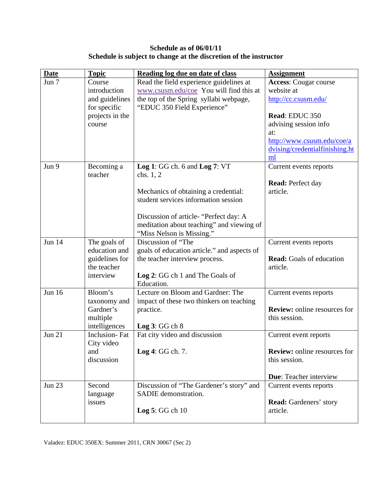# **Schedule as of 06/01/11 Schedule is subject to change at the discretion of the instructor**

| <b>Date</b>   | <b>Topic</b>                  | Reading log due on date of class            | <b>Assignment</b>                           |
|---------------|-------------------------------|---------------------------------------------|---------------------------------------------|
| Jun 7         | Course                        | Read the field experience guidelines at     | <b>Access:</b> Cougar course                |
|               | introduction                  | www.csusm.edu/coe You will find this at     | website at                                  |
|               | and guidelines                | the top of the Spring syllabi webpage,      | http://cc.csusm.edu/                        |
|               | for specific                  | "EDUC 350 Field Experience"                 |                                             |
|               | projects in the               |                                             | Read: EDUC 350                              |
|               | course                        |                                             | advising session info                       |
|               |                               |                                             | at:                                         |
|               |                               |                                             | http://www.csusm.edu/coe/a                  |
|               |                               |                                             | dvising/credentialfinishing.ht              |
|               |                               |                                             | ml                                          |
| Jun 9         | Becoming a                    | Log 1: GG ch. $6$ and Log 7: VT             | Current events reports                      |
|               | teacher                       | chs. $1, 2$                                 |                                             |
|               |                               |                                             | <b>Read:</b> Perfect day                    |
|               |                               | Mechanics of obtaining a credential:        | article.                                    |
|               |                               | student services information session        |                                             |
|               |                               |                                             |                                             |
|               |                               | Discussion of article- "Perfect day: A      |                                             |
|               |                               | meditation about teaching" and viewing of   |                                             |
|               |                               | "Miss Nelson is Missing."                   |                                             |
| <b>Jun 14</b> | The goals of                  | Discussion of "The                          | Current events reports                      |
|               | education and                 | goals of education article." and aspects of |                                             |
|               | guidelines for<br>the teacher | the teacher interview process.              | <b>Read:</b> Goals of education<br>article. |
|               | interview                     | Log 2: GG ch 1 and The Goals of             |                                             |
|               |                               | Education.                                  |                                             |
| <b>Jun 16</b> | Bloom's                       | Lecture on Bloom and Gardner: The           |                                             |
|               | taxonomy and                  | impact of these two thinkers on teaching    | Current events reports                      |
|               | Gardner's                     | practice.                                   | <b>Review:</b> online resources for         |
|               | multiple                      |                                             | this session.                               |
|               | intelligences                 | Log 3: GG ch 8                              |                                             |
| <b>Jun 21</b> | Inclusion-Fat                 | Fat city video and discussion               | Current event reports                       |
|               | City video                    |                                             |                                             |
|               | and                           | Log 4: GG ch. 7.                            | <b>Review:</b> online resources for         |
|               | discussion                    |                                             | this session.                               |
|               |                               |                                             |                                             |
|               |                               |                                             | <b>Due:</b> Teacher interview               |
| <b>Jun 23</b> | Second                        | Discussion of "The Gardener's story" and    | Current events reports                      |
|               | language                      | SADIE demonstration.                        |                                             |
|               | issues                        |                                             | <b>Read:</b> Gardeners' story               |
|               |                               | Log $5:GG$ ch $10$                          | article.                                    |
|               |                               |                                             |                                             |